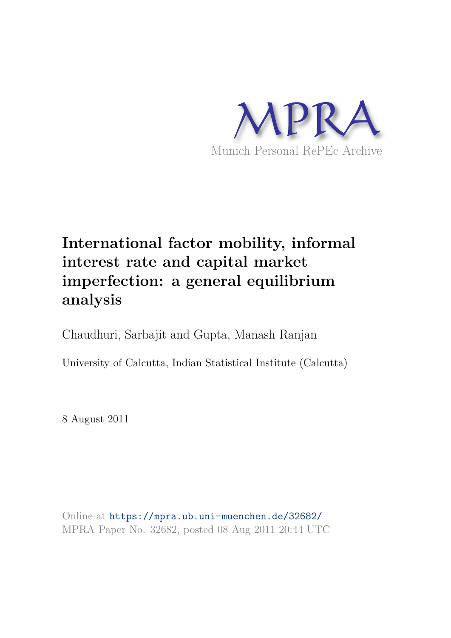

# **International factor mobility, informal interest rate and capital market imperfection: a general equilibrium analysis**

Chaudhuri, Sarbajit and Gupta, Manash Ranjan

University of Calcutta, Indian Statistical Institute (Calcutta)

8 August 2011

Online at https://mpra.ub.uni-muenchen.de/32682/ MPRA Paper No. 32682, posted 08 Aug 2011 20:44 UTC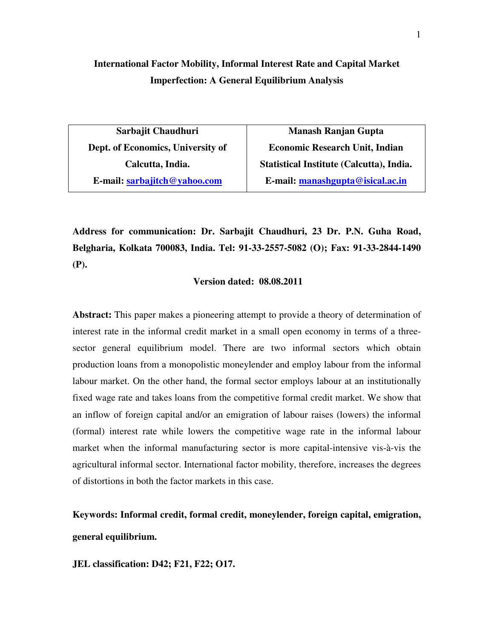# **International Factor Mobility, Informal Interest Rate and Capital Market Imperfection: A General Equilibrium Analysis**

**Sarbajit Chaudhuri Dept. of Economics, University of Calcutta, India. E-mail: sarbajitch@yahoo.com** 

**Manash Ranjan Gupta Economic Research Unit, Indian Statistical Institute (Calcutta), India. E-mail: manashgupta@isical.ac.in**

**Address for communication: Dr. Sarbajit Chaudhuri, 23 Dr. P.N. Guha Road, Belgharia, Kolkata 700083, India. Tel: 91-33-2557-5082 (O); Fax: 91-33-2844-1490 (P).** 

## **Version dated: 08.08.2011**

**Abstract:** This paper makes a pioneering attempt to provide a theory of determination of interest rate in the informal credit market in a small open economy in terms of a threesector general equilibrium model. There are two informal sectors which obtain production loans from a monopolistic moneylender and employ labour from the informal labour market. On the other hand, the formal sector employs labour at an institutionally fixed wage rate and takes loans from the competitive formal credit market. We show that an inflow of foreign capital and/or an emigration of labour raises (lowers) the informal (formal) interest rate while lowers the competitive wage rate in the informal labour market when the informal manufacturing sector is more capital-intensive vis-à-vis the agricultural informal sector. International factor mobility, therefore, increases the degrees of distortions in both the factor markets in this case.

**Keywords: Informal credit, formal credit, moneylender, foreign capital, emigration, general equilibrium.** 

**JEL classification: D42; F21, F22; O17.**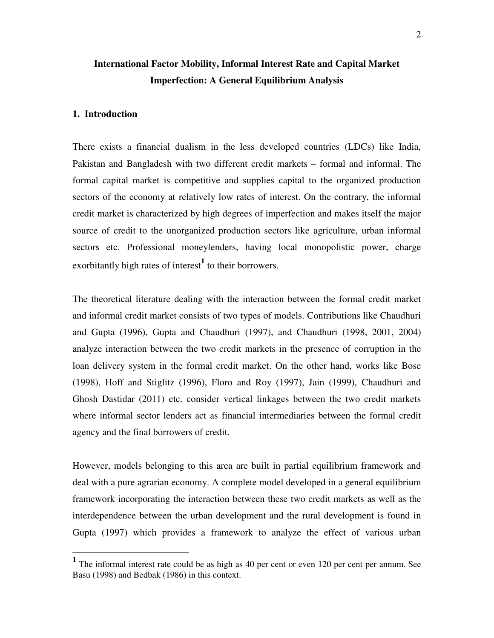# **International Factor Mobility, Informal Interest Rate and Capital Market Imperfection: A General Equilibrium Analysis**

### **1. Introduction**

 $\overline{a}$ 

There exists a financial dualism in the less developed countries (LDCs) like India, Pakistan and Bangladesh with two different credit markets – formal and informal. The formal capital market is competitive and supplies capital to the organized production sectors of the economy at relatively low rates of interest. On the contrary, the informal credit market is characterized by high degrees of imperfection and makes itself the major source of credit to the unorganized production sectors like agriculture, urban informal sectors etc. Professional moneylenders, having local monopolistic power, charge exorbitantly high rates of interest<sup>1</sup> to their borrowers.

The theoretical literature dealing with the interaction between the formal credit market and informal credit market consists of two types of models. Contributions like Chaudhuri and Gupta (1996), Gupta and Chaudhuri (1997), and Chaudhuri (1998, 2001, 2004) analyze interaction between the two credit markets in the presence of corruption in the loan delivery system in the formal credit market. On the other hand, works like Bose (1998), Hoff and Stiglitz (1996), Floro and Roy (1997), Jain (1999), Chaudhuri and Ghosh Dastidar (2011) etc. consider vertical linkages between the two credit markets where informal sector lenders act as financial intermediaries between the formal credit agency and the final borrowers of credit.

However, models belonging to this area are built in partial equilibrium framework and deal with a pure agrarian economy. A complete model developed in a general equilibrium framework incorporating the interaction between these two credit markets as well as the interdependence between the urban development and the rural development is found in Gupta (1997) which provides a framework to analyze the effect of various urban

<sup>&</sup>lt;sup>1</sup> The informal interest rate could be as high as 40 per cent or even 120 per cent per annum. See Basu (1998) and Bedbak (1986) in this context.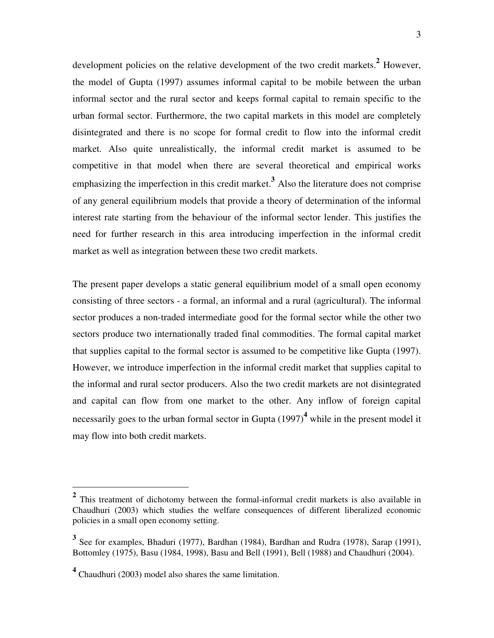development policies on the relative development of the two credit markets.**<sup>2</sup>** However, the model of Gupta (1997) assumes informal capital to be mobile between the urban informal sector and the rural sector and keeps formal capital to remain specific to the urban formal sector. Furthermore, the two capital markets in this model are completely disintegrated and there is no scope for formal credit to flow into the informal credit market. Also quite unrealistically, the informal credit market is assumed to be competitive in that model when there are several theoretical and empirical works emphasizing the imperfection in this credit market.**<sup>3</sup>** Also the literature does not comprise of any general equilibrium models that provide a theory of determination of the informal interest rate starting from the behaviour of the informal sector lender. This justifies the need for further research in this area introducing imperfection in the informal credit market as well as integration between these two credit markets.

The present paper develops a static general equilibrium model of a small open economy consisting of three sectors - a formal, an informal and a rural (agricultural). The informal sector produces a non-traded intermediate good for the formal sector while the other two sectors produce two internationally traded final commodities. The formal capital market that supplies capital to the formal sector is assumed to be competitive like Gupta (1997). However, we introduce imperfection in the informal credit market that supplies capital to the informal and rural sector producers. Also the two credit markets are not disintegrated and capital can flow from one market to the other. Any inflow of foreign capital necessarily goes to the urban formal sector in Gupta (1997)<sup>4</sup> while in the present model it may flow into both credit markets.

 $\overline{a}$ 

<sup>&</sup>lt;sup>2</sup> This treatment of dichotomy between the formal-informal credit markets is also available in Chaudhuri (2003) which studies the welfare consequences of different liberalized economic policies in a small open economy setting.

<sup>&</sup>lt;sup>3</sup> See for examples, Bhaduri (1977), Bardhan (1984), Bardhan and Rudra (1978), Sarap (1991), Bottomley (1975), Basu (1984, 1998), Basu and Bell (1991), Bell (1988) and Chaudhuri (2004).

**<sup>4</sup>** Chaudhuri (2003) model also shares the same limitation.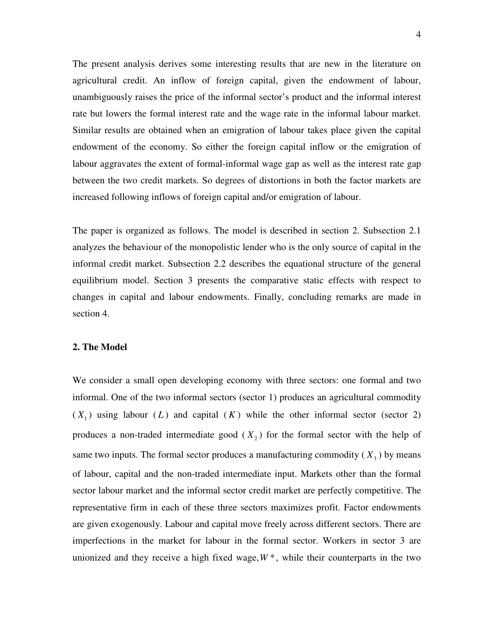The present analysis derives some interesting results that are new in the literature on agricultural credit. An inflow of foreign capital, given the endowment of labour, unambiguously raises the price of the informal sector's product and the informal interest rate but lowers the formal interest rate and the wage rate in the informal labour market. Similar results are obtained when an emigration of labour takes place given the capital endowment of the economy. So either the foreign capital inflow or the emigration of labour aggravates the extent of formal-informal wage gap as well as the interest rate gap between the two credit markets. So degrees of distortions in both the factor markets are increased following inflows of foreign capital and/or emigration of labour.

The paper is organized as follows. The model is described in section 2. Subsection 2.1 analyzes the behaviour of the monopolistic lender who is the only source of capital in the informal credit market. Subsection 2.2 describes the equational structure of the general equilibrium model. Section 3 presents the comparative static effects with respect to changes in capital and labour endowments. Finally, concluding remarks are made in section 4.

# **2. The Model**

We consider a small open developing economy with three sectors: one formal and two informal. One of the two informal sectors (sector 1) produces an agricultural commodity  $(X_1)$  using labour  $(L)$  and capital  $(K)$  while the other informal sector (sector 2) produces a non-traded intermediate good  $(X_2)$  for the formal sector with the help of same two inputs. The formal sector produces a manufacturing commodity  $(X_3)$  by means of labour, capital and the non-traded intermediate input. Markets other than the formal sector labour market and the informal sector credit market are perfectly competitive. The representative firm in each of these three sectors maximizes profit. Factor endowments are given exogenously. Labour and capital move freely across different sectors. There are imperfections in the market for labour in the formal sector. Workers in sector 3 are unionized and they receive a high fixed wage,  $W^*$ , while their counterparts in the two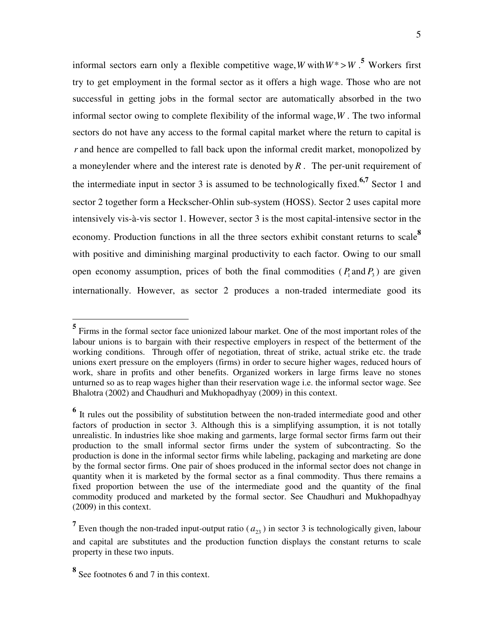informal sectors earn only a flexible competitive wage, W with  $W^* > W$ .<sup>5</sup> Workers first try to get employment in the formal sector as it offers a high wage. Those who are not successful in getting jobs in the formal sector are automatically absorbed in the two informal sector owing to complete flexibility of the informal wage,*W* . The two informal sectors do not have any access to the formal capital market where the return to capital is *r* and hence are compelled to fall back upon the informal credit market, monopolized by a moneylender where and the interest rate is denoted by *R* . The per-unit requirement of the intermediate input in sector 3 is assumed to be technologically fixed.<sup>6,7</sup> Sector 1 and sector 2 together form a Heckscher-Ohlin sub-system (HOSS). Sector 2 uses capital more intensively vis-à-vis sector 1. However, sector 3 is the most capital-intensive sector in the economy. Production functions in all the three sectors exhibit constant returns to scale**<sup>8</sup>** with positive and diminishing marginal productivity to each factor. Owing to our small open economy assumption, prices of both the final commodities  $(P_1 \text{ and } P_3)$  are given internationally. However, as sector 2 produces a non-traded intermediate good its

 $\overline{a}$ 

**<sup>5</sup>** Firms in the formal sector face unionized labour market. One of the most important roles of the labour unions is to bargain with their respective employers in respect of the betterment of the working conditions. Through offer of negotiation, threat of strike, actual strike etc. the trade unions exert pressure on the employers (firms) in order to secure higher wages, reduced hours of work, share in profits and other benefits. Organized workers in large firms leave no stones unturned so as to reap wages higher than their reservation wage i.e. the informal sector wage. See Bhalotra (2002) and Chaudhuri and Mukhopadhyay (2009) in this context.

<sup>&</sup>lt;sup>6</sup> It rules out the possibility of substitution between the non-traded intermediate good and other factors of production in sector 3. Although this is a simplifying assumption, it is not totally unrealistic. In industries like shoe making and garments, large formal sector firms farm out their production to the small informal sector firms under the system of subcontracting. So the production is done in the informal sector firms while labeling, packaging and marketing are done by the formal sector firms. One pair of shoes produced in the informal sector does not change in quantity when it is marketed by the formal sector as a final commodity. Thus there remains a fixed proportion between the use of the intermediate good and the quantity of the final commodity produced and marketed by the formal sector. See Chaudhuri and Mukhopadhyay (2009) in this context.

<sup>&</sup>lt;sup>7</sup> Even though the non-traded input-output ratio ( $a_{23}$ ) in sector 3 is technologically given, labour and capital are substitutes and the production function displays the constant returns to scale property in these two inputs.

**<sup>8</sup>** See footnotes 6 and 7 in this context.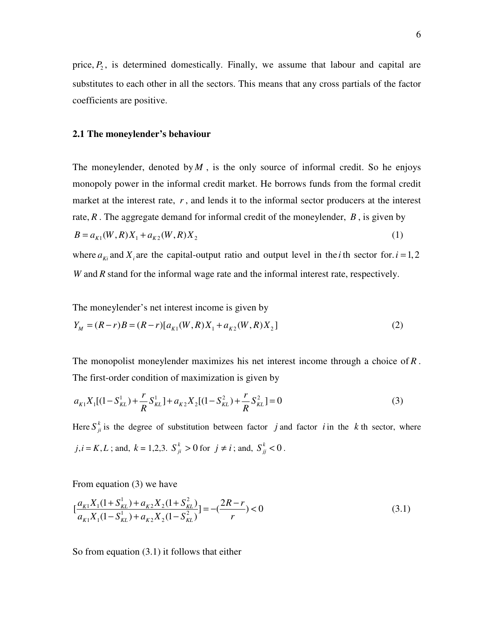price,  $P_2$ , is determined domestically. Finally, we assume that labour and capital are substitutes to each other in all the sectors. This means that any cross partials of the factor coefficients are positive.

#### **2.1 The moneylender's behaviour**

The moneylender, denoted by  $M$ , is the only source of informal credit. So he enjoys monopoly power in the informal credit market. He borrows funds from the formal credit market at the interest rate, *r* , and lends it to the informal sector producers at the interest rate, *R* . The aggregate demand for informal credit of the moneylender, *B* , is given by  $B = a_{K1}(W, R)X_1 + a_{K2}(W, R)X_2$  (1)

where  $a_{ki}$  and  $X_i$  are the capital-output ratio and output level in the *i* th sector for. *i* = 1, 2 *W* and *R* stand for the informal wage rate and the informal interest rate, respectively.

The moneylender's net interest income is given by

$$
Y_M = (R - r)B = (R - r)[a_{K1}(W, R)X_1 + a_{K2}(W, R)X_2]
$$
\n(2)

The monopolist moneylender maximizes his net interest income through a choice of *R* . The first-order condition of maximization is given by

$$
a_{K1}X_1[(1 - S_{KL}^1) + \frac{r}{R}S_{KL}^1] + a_{K2}X_2[(1 - S_{KL}^2) + \frac{r}{R}S_{KL}^2] = 0
$$
\n(3)

Here  $S_{ji}^k$  is the degree of substitution between factor *j* and factor *i* in the *k* th sector, where  $j, i = K, L$ ; and,  $k = 1, 2, 3$ .  $S_{ji}^k > 0$  for  $j \neq i$ ; and,  $S_{jj}^k < 0$ .

From equation (3) we have

$$
\left[\frac{a_{k1}X_1(1+S_{kL}^1)+a_{k2}X_2(1+S_{kL}^2)}{a_{k1}X_1(1-S_{kL}^1)+a_{k2}X_2(1-S_{kL}^2)}\right] = -\left(\frac{2R-r}{r}\right) < 0\tag{3.1}
$$

So from equation (3.1) it follows that either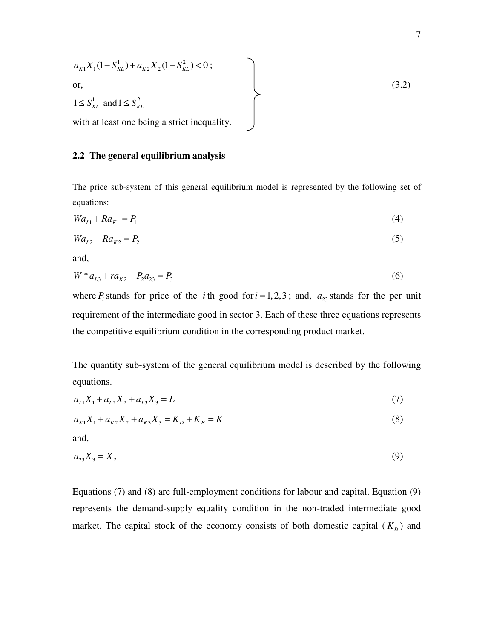$$
a_{K1}X_1(1-S_{KL}^1) + a_{K2}X_2(1-S_{KL}^2) < 0;
$$
\nor,

\n
$$
1 \leq S_{KL}^1 \text{ and } 1 \leq S_{KL}^2
$$
\nwith at least one being a strict inequality.

\n

# **2.2 The general equilibrium analysis**

The price sub-system of this general equilibrium model is represented by the following set of equations:

$$
Wa_{L1} + Ra_{K1} = P_1 \tag{4}
$$

$$
Wa_{L2} + Ra_{K2} = P_2 \tag{5}
$$

and,

$$
W * a_{L3} + ra_{K2} + P_2 a_{23} = P_3 \tag{6}
$$

where  $P_i$  stands for price of the *i*th good for  $i = 1, 2, 3$ ; and,  $a_{23}$  stands for the per unit requirement of the intermediate good in sector 3. Each of these three equations represents the competitive equilibrium condition in the corresponding product market.

The quantity sub-system of the general equilibrium model is described by the following equations.

$$
a_{L1}X_1 + a_{L2}X_2 + a_{L3}X_3 = L \tag{7}
$$

$$
a_{K1}X_1 + a_{K2}X_2 + a_{K3}X_3 = K_D + K_F = K
$$
\n(8)

and,

$$
a_{23}X_3 = X_2 \tag{9}
$$

Equations (7) and (8) are full-employment conditions for labour and capital. Equation (9) represents the demand-supply equality condition in the non-traded intermediate good market. The capital stock of the economy consists of both domestic capital  $(K_D)$  and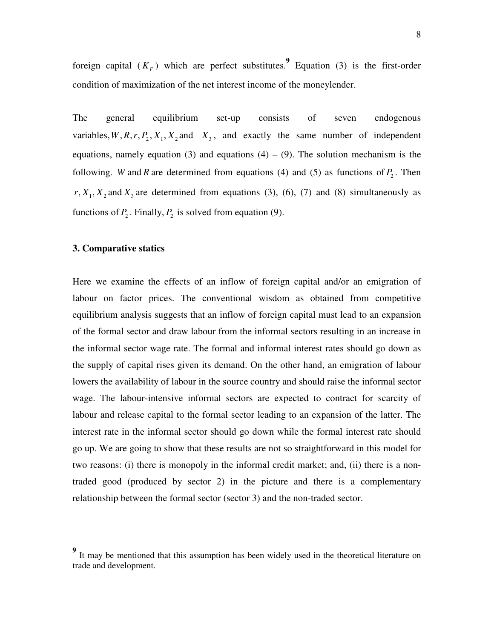foreign capital  $(K_F)$  which are perfect substitutes.<sup>9</sup> Equation (3) is the first-order condition of maximization of the net interest income of the moneylender.

The general equilibrium set-up consists of seven endogenous variables,  $W, R, r, P_2, X_1, X_2$  and  $X_3$ , and exactly the same number of independent equations, namely equation (3) and equations  $(4) - (9)$ . The solution mechanism is the following. *W* and *R* are determined from equations (4) and (5) as functions of  $P_2$ . Then  $r, X_1, X_2$  and  $X_3$  are determined from equations (3), (6), (7) and (8) simultaneously as functions of  $P_2$ . Finally,  $P_2$  is solved from equation (9).

# **3. Comparative statics**

-

Here we examine the effects of an inflow of foreign capital and/or an emigration of labour on factor prices. The conventional wisdom as obtained from competitive equilibrium analysis suggests that an inflow of foreign capital must lead to an expansion of the formal sector and draw labour from the informal sectors resulting in an increase in the informal sector wage rate. The formal and informal interest rates should go down as the supply of capital rises given its demand. On the other hand, an emigration of labour lowers the availability of labour in the source country and should raise the informal sector wage. The labour-intensive informal sectors are expected to contract for scarcity of labour and release capital to the formal sector leading to an expansion of the latter. The interest rate in the informal sector should go down while the formal interest rate should go up. We are going to show that these results are not so straightforward in this model for two reasons: (i) there is monopoly in the informal credit market; and, (ii) there is a nontraded good (produced by sector 2) in the picture and there is a complementary relationship between the formal sector (sector 3) and the non-traded sector.

<sup>&</sup>lt;sup>9</sup> It may be mentioned that this assumption has been widely used in the theoretical literature on trade and development.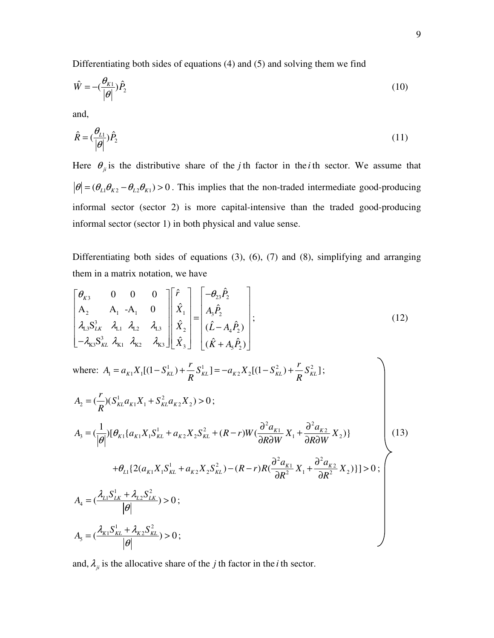Differentiating both sides of equations (4) and (5) and solving them we find

$$
\hat{W} = -\left(\frac{\theta_{K1}}{|\theta|}\right)\hat{P}_2\tag{10}
$$

and,

$$
\hat{R} = \left(\frac{\theta_{L1}}{|\theta|}\right)\hat{P}_2\tag{11}
$$

Here  $\theta_{ji}$  is the distributive share of the *j* th factor in the *i* th sector. We assume that  $|\theta| = (\theta_{L1}\theta_{K2} - \theta_{L2}\theta_{K1}) > 0$ . This implies that the non-traded intermediate good-producing informal sector (sector 2) is more capital-intensive than the traded good-producing informal sector (sector 1) in both physical and value sense.

Differentiating both sides of equations (3), (6), (7) and (8), simplifying and arranging them in a matrix notation, we have

$$
\begin{bmatrix} \theta_{K3} & 0 & 0 & 0 \\ A_2 & A_1 & -A_1 & 0 \\ A_{L3}S_{LK}^3 & \lambda_{L1} & \lambda_{L2} & \lambda_{L3} \\ -\lambda_{K3}S_{KL}^3 & \lambda_{K1} & \lambda_{K2} & \lambda_{K3} \end{bmatrix} \begin{bmatrix} \hat{r} \\ \hat{X}_1 \\ \hat{X}_2 \\ \hat{X}_3 \end{bmatrix} = \begin{bmatrix} -\theta_{23}\hat{P}_2 \\ A_3\hat{P}_2 \\ (\hat{L} - A_4\hat{P}_2) \\ (\hat{L} - A_4\hat{P}_2) \end{bmatrix};
$$
\n(12)

where: 
$$
A_1 = a_{K1}X_1[(1 - S_{KL}^1) + \frac{r}{R}S_{KL}^1] = -a_{K2}X_2[(1 - S_{KL}^2) + \frac{r}{R}S_{KL}^2];
$$
  
\n
$$
A_2 = (\frac{r}{R})(S_{KL}^1a_{K1}X_1 + S_{KL}^2a_{K2}X_2) > 0;
$$
\n
$$
A_3 = (\frac{1}{|\theta|})[\theta_{K1}\{a_{K1}X_1S_{KL}^1 + a_{K2}X_2S_{KL}^2 + (R - r)W(\frac{\partial^2 a_{K1}}{\partial R\partial W}X_1 + \frac{\partial^2 a_{K2}}{\partial R\partial W}X_2)]\}
$$
\n
$$
+ \theta_{L1}\{2(a_{K1}X_1S_{KL}^1 + a_{K2}X_2S_{KL}^2) - (R - r)R(\frac{\partial^2 a_{K1}}{\partial R^2}X_1 + \frac{\partial^2 a_{K2}}{\partial R^2}X_2)\}] > 0;
$$
\n
$$
A_4 = (\frac{\lambda_{L1}S_{LK}^1 + \lambda_{L2}S_{LK}^2}{|\theta|}) > 0;
$$
\n
$$
A_5 = (\frac{\lambda_{K1}S_{KL}^1 + \lambda_{K2}S_{KL}^2}{|\theta|}) > 0;
$$
\n(13)

and,  $\lambda_{ji}$  is the allocative share of the *j* th factor in the *i* th sector.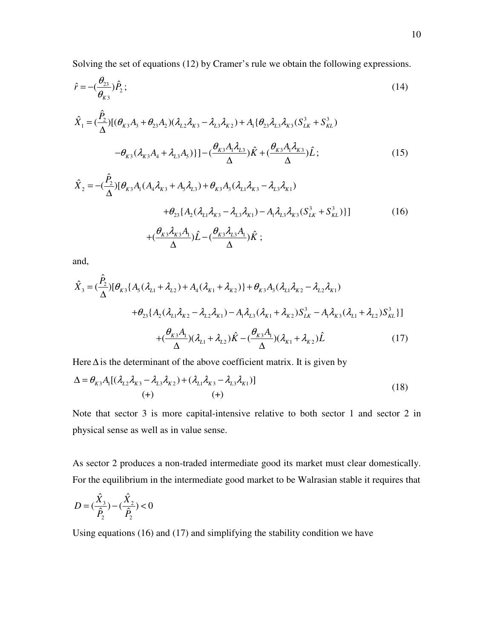Solving the set of equations (12) by Cramer's rule we obtain the following expressions.

$$
\hat{r} = -\left(\frac{\theta_{23}}{\theta_{K3}}\right)\hat{P}_2\tag{14}
$$

$$
\hat{X}_1 = \left(\frac{\hat{P}_2}{\Delta}\right) \left[ (\theta_{K3}A_3 + \theta_{23}A_2)(\lambda_{L2}\lambda_{K3} - \lambda_{L3}\lambda_{K2}) + A_1 \{\theta_{23}\lambda_{L3}\lambda_{K3}(S_{LK}^3 + S_{KL}^3) - \theta_{K3}(\lambda_{K3}A_4 + \lambda_{L3}A_5) \} \right] - \left(\frac{\theta_{K3}A_1\lambda_{L3}}{\Delta}\right)\hat{K} + \left(\frac{\theta_{K3}A_1\lambda_{K3}}{\Delta}\right)\hat{L};
$$
\n(15)

$$
\hat{X}_{2} = -(\frac{\hat{P}_{2}}{\Delta})[\theta_{K3}A_{1}(A_{4}\lambda_{K3} + A_{5}\lambda_{L3}) + \theta_{K3}A_{3}(\lambda_{L1}\lambda_{K3} - \lambda_{L3}\lambda_{K1})
$$
  
+  $\theta_{23}\{A_{2}(\lambda_{L1}\lambda_{K3} - \lambda_{L3}\lambda_{K1}) - A_{1}\lambda_{L3}\lambda_{K3}(S_{LK}^{3} + S_{KL}^{3})\}]$  (16)  
+ $(\frac{\theta_{K3}\lambda_{K3}A_{1}}{\Delta})\hat{L} - (\frac{\theta_{K3}\lambda_{L3}A_{1}}{\Delta})\hat{K};$ 

and,

$$
\hat{X}_{3} = (\frac{\hat{P}_{2}}{\Delta})[\theta_{K3}\{A_{5}(\lambda_{L1} + \lambda_{L2}) + A_{4}(\lambda_{K1} + \lambda_{K2})\} + \theta_{K3}A_{3}(\lambda_{L1}\lambda_{K2} - \lambda_{L2}\lambda_{K1})
$$
  
+  $\theta_{23}\{A_{2}(\lambda_{L1}\lambda_{K2} - \lambda_{L2}\lambda_{K1}) - A_{1}\lambda_{L3}(\lambda_{K1} + \lambda_{K2})S_{LK}^{3} - A_{1}\lambda_{K3}(\lambda_{L1} + \lambda_{L2})S_{KL}^{3}\}]$   
+  $(\frac{\theta_{K3}A_{1}}{\Delta})(\lambda_{L1} + \lambda_{L2})\hat{K} - (\frac{\theta_{K3}A_{1}}{\Delta})(\lambda_{K1} + \lambda_{K2})\hat{L}$  (17)

Here  $\Delta$  is the determinant of the above coefficient matrix. It is given by

$$
\Delta = \theta_{K3} A_1 [(\lambda_{L2} \lambda_{K3} - \lambda_{L3} \lambda_{K2}) + (\lambda_{L1} \lambda_{K3} - \lambda_{L3} \lambda_{K1})]
$$
  
(+) (18)

Note that sector 3 is more capital-intensive relative to both sector 1 and sector 2 in physical sense as well as in value sense.

As sector 2 produces a non-traded intermediate good its market must clear domestically. For the equilibrium in the intermediate good market to be Walrasian stable it requires that

$$
D = (\frac{\hat{X}_3}{\hat{P}_2}) - (\frac{\hat{X}_2}{\hat{P}_2}) < 0
$$

Using equations (16) and (17) and simplifying the stability condition we have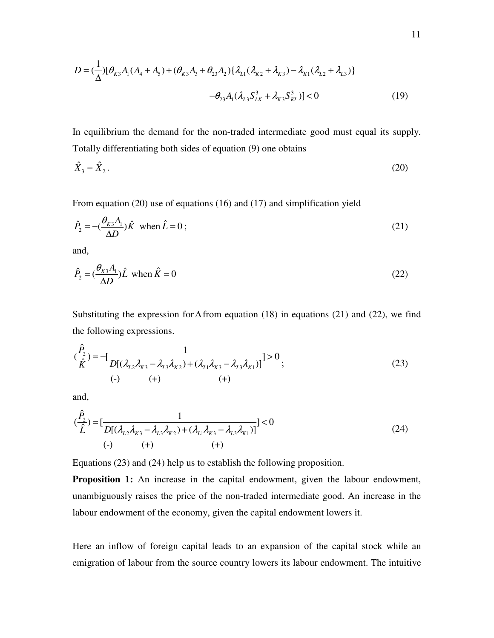$$
D = (\frac{1}{\Delta})[\theta_{K3}A_1(A_4 + A_5) + (\theta_{K3}A_3 + \theta_{23}A_2)\{\lambda_{L1}(\lambda_{K2} + \lambda_{K3}) - \lambda_{K1}(\lambda_{L2} + \lambda_{L3})\}\
$$

$$
-\theta_{23}A_1(\lambda_{L3}S_{LK}^3 + \lambda_{K3}S_{KL}^3)] < 0
$$
(19)

In equilibrium the demand for the non-traded intermediate good must equal its supply. Totally differentiating both sides of equation (9) one obtains

$$
\hat{X}_3 = \hat{X}_2. \tag{20}
$$

From equation (20) use of equations (16) and (17) and simplification yield

$$
\hat{P}_2 = -\left(\frac{\theta_{\kappa 3} A_1}{\Delta D}\right) \hat{K} \quad \text{when } \hat{L} = 0 \tag{21}
$$

and,

$$
\hat{P}_2 = \left(\frac{\theta_{K3}A_1}{\Delta D}\right)\hat{L} \text{ when } \hat{K} = 0 \tag{22}
$$

Substituting the expression for  $\Delta$  from equation (18) in equations (21) and (22), we find the following expressions.

$$
(\frac{\hat{P}_2}{\hat{K}}) = -[\frac{1}{D[(\lambda_{L2}\lambda_{K3} - \lambda_{L3}\lambda_{K2}) + (\lambda_{L1}\lambda_{K3} - \lambda_{L3}\lambda_{K1})]}] > 0
$$
  
(-) (+) (+) (+) (+)

and,

$$
(\frac{\hat{P}_2}{\hat{L}}) = [\frac{1}{D[(\lambda_{L2}\lambda_{K3} - \lambda_{L3}\lambda_{K2}) + (\lambda_{L1}\lambda_{K3} - \lambda_{L3}\lambda_{K1})]}] < 0
$$
\n  
\n(-)\n  
\n(-)\n  
\n(-)\n  
\n(-)\n  
\n(-)\n  
\n(24)

Equations (23) and (24) help us to establish the following proposition.

**Proposition 1:** An increase in the capital endowment, given the labour endowment, unambiguously raises the price of the non-traded intermediate good. An increase in the labour endowment of the economy, given the capital endowment lowers it.

Here an inflow of foreign capital leads to an expansion of the capital stock while an emigration of labour from the source country lowers its labour endowment. The intuitive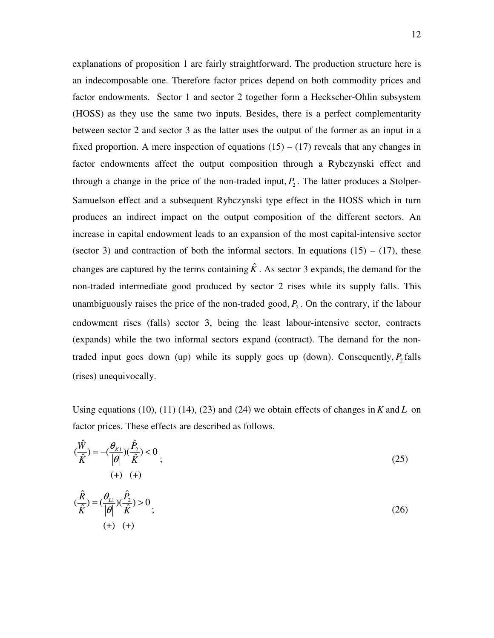explanations of proposition 1 are fairly straightforward. The production structure here is an indecomposable one. Therefore factor prices depend on both commodity prices and factor endowments. Sector 1 and sector 2 together form a Heckscher-Ohlin subsystem (HOSS) as they use the same two inputs. Besides, there is a perfect complementarity between sector 2 and sector 3 as the latter uses the output of the former as an input in a fixed proportion. A mere inspection of equations  $(15) - (17)$  reveals that any changes in factor endowments affect the output composition through a Rybczynski effect and through a change in the price of the non-traded input,  $P_2$ . The latter produces a Stolper-Samuelson effect and a subsequent Rybczynski type effect in the HOSS which in turn produces an indirect impact on the output composition of the different sectors. An increase in capital endowment leads to an expansion of the most capital-intensive sector (sector 3) and contraction of both the informal sectors. In equations  $(15) - (17)$ , these changes are captured by the terms containing  $\hat{K}$ . As sector 3 expands, the demand for the non-traded intermediate good produced by sector 2 rises while its supply falls. This unambiguously raises the price of the non-traded good,  $P_2$ . On the contrary, if the labour endowment rises (falls) sector 3, being the least labour-intensive sector, contracts (expands) while the two informal sectors expand (contract). The demand for the nontraded input goes down (up) while its supply goes up (down). Consequently,  $P_2$  falls (rises) unequivocally.

Using equations (10), (11) (14), (23) and (24) we obtain effects of changes in *K* and *L* on factor prices. These effects are described as follows.

$$
(\frac{\hat{W}}{\hat{K}}) = -(\frac{\theta_{K1}}{|\theta|})(\frac{\hat{P}_2}{\hat{K}}) < 0
$$
  
(+) (+) (+)  

$$
(\frac{\hat{R}}{\hat{K}}) = (\frac{\theta_{L1}}{|\theta|})(\frac{\hat{P}_2}{\hat{K}}) > 0
$$
  
(+) (+) (+)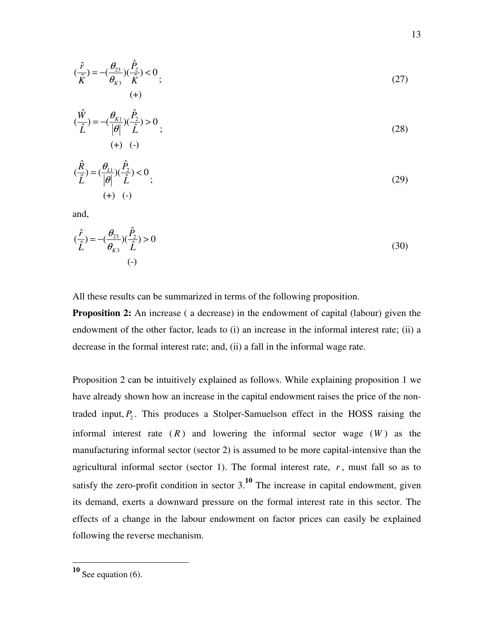$$
(\frac{\hat{r}}{\hat{K}}) = -(\frac{\theta_{23}}{\theta_{K3}})(\frac{\hat{P}_2}{\hat{K}}) < 0 \tag{27}
$$
\n
$$
(\text{+)}
$$

$$
(\frac{\hat{W}}{\hat{L}}) = -(\frac{\theta_{K1}}{|\theta|})(\frac{\hat{P}_2}{\hat{L}}) > 0
$$
  
(+) (-)

$$
(\frac{\hat{R}}{\hat{L}}) = (\frac{\theta_{L1}}{|\theta|})(\frac{\hat{P}_2}{\hat{L}}) < 0
$$
\n
$$
(+) (-)
$$
\n(29)

and,

$$
(\frac{\hat{r}}{\hat{L}}) = -(\frac{\theta_{23}}{\theta_{K3}})(\frac{\hat{P}_2}{\hat{L}}) > 0
$$
\n<sup>(-)</sup>

All these results can be summarized in terms of the following proposition.

**Proposition 2:** An increase (a decrease) in the endowment of capital (labour) given the endowment of the other factor, leads to (i) an increase in the informal interest rate; (ii) a decrease in the formal interest rate; and, (ii) a fall in the informal wage rate.

Proposition 2 can be intuitively explained as follows. While explaining proposition 1 we have already shown how an increase in the capital endowment raises the price of the nontraded input,  $P_2$ . This produces a Stolper-Samuelson effect in the HOSS raising the informal interest rate  $(R)$  and lowering the informal sector wage  $(W)$  as the manufacturing informal sector (sector 2) is assumed to be more capital-intensive than the agricultural informal sector (sector 1). The formal interest rate,  $r$ , must fall so as to satisfy the zero-profit condition in sector  $3<sup>10</sup>$ . The increase in capital endowment, given its demand, exerts a downward pressure on the formal interest rate in this sector. The effects of a change in the labour endowment on factor prices can easily be explained following the reverse mechanism.

 $\overline{a}$ 

**<sup>10</sup>** See equation (6).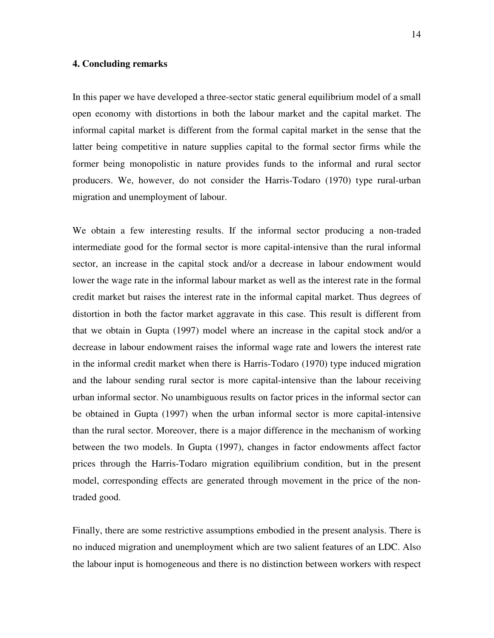# **4. Concluding remarks**

In this paper we have developed a three-sector static general equilibrium model of a small open economy with distortions in both the labour market and the capital market. The informal capital market is different from the formal capital market in the sense that the latter being competitive in nature supplies capital to the formal sector firms while the former being monopolistic in nature provides funds to the informal and rural sector producers. We, however, do not consider the Harris-Todaro (1970) type rural-urban migration and unemployment of labour.

We obtain a few interesting results. If the informal sector producing a non-traded intermediate good for the formal sector is more capital-intensive than the rural informal sector, an increase in the capital stock and/or a decrease in labour endowment would lower the wage rate in the informal labour market as well as the interest rate in the formal credit market but raises the interest rate in the informal capital market. Thus degrees of distortion in both the factor market aggravate in this case. This result is different from that we obtain in Gupta (1997) model where an increase in the capital stock and/or a decrease in labour endowment raises the informal wage rate and lowers the interest rate in the informal credit market when there is Harris-Todaro (1970) type induced migration and the labour sending rural sector is more capital-intensive than the labour receiving urban informal sector. No unambiguous results on factor prices in the informal sector can be obtained in Gupta (1997) when the urban informal sector is more capital-intensive than the rural sector. Moreover, there is a major difference in the mechanism of working between the two models. In Gupta (1997), changes in factor endowments affect factor prices through the Harris-Todaro migration equilibrium condition, but in the present model, corresponding effects are generated through movement in the price of the nontraded good.

Finally, there are some restrictive assumptions embodied in the present analysis. There is no induced migration and unemployment which are two salient features of an LDC. Also the labour input is homogeneous and there is no distinction between workers with respect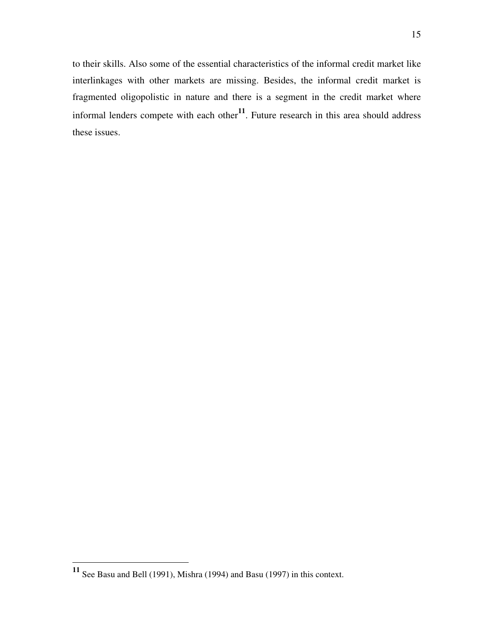to their skills. Also some of the essential characteristics of the informal credit market like interlinkages with other markets are missing. Besides, the informal credit market is fragmented oligopolistic in nature and there is a segment in the credit market where informal lenders compete with each other**11**. Future research in this area should address these issues.

<u>.</u>

**<sup>11</sup>** See Basu and Bell (1991), Mishra (1994) and Basu (1997) in this context.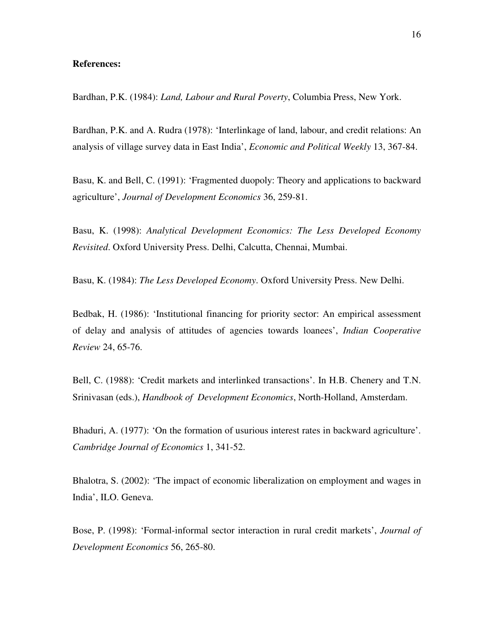# **References:**

Bardhan, P.K. (1984): *Land, Labour and Rural Poverty*, Columbia Press, New York.

Bardhan, P.K. and A. Rudra (1978): 'Interlinkage of land, labour, and credit relations: An analysis of village survey data in East India', *Economic and Political Weekly* 13, 367-84.

Basu, K. and Bell, C. (1991): 'Fragmented duopoly: Theory and applications to backward agriculture', *Journal of Development Economics* 36, 259-81.

Basu, K. (1998): *Analytical Development Economics: The Less Developed Economy Revisited*. Oxford University Press. Delhi, Calcutta, Chennai, Mumbai.

Basu, K. (1984): *The Less Developed Economy*. Oxford University Press. New Delhi.

Bedbak, H. (1986): 'Institutional financing for priority sector: An empirical assessment of delay and analysis of attitudes of agencies towards loanees', *Indian Cooperative Review* 24, 65-76.

Bell, C. (1988): 'Credit markets and interlinked transactions'. In H.B. Chenery and T.N. Srinivasan (eds.), *Handbook of Development Economics*, North-Holland, Amsterdam.

Bhaduri, A. (1977): 'On the formation of usurious interest rates in backward agriculture'. *Cambridge Journal of Economics* 1, 341-52.

Bhalotra, S. (2002): 'The impact of economic liberalization on employment and wages in India', ILO. Geneva.

Bose, P. (1998): 'Formal-informal sector interaction in rural credit markets', *Journal of Development Economics* 56, 265-80.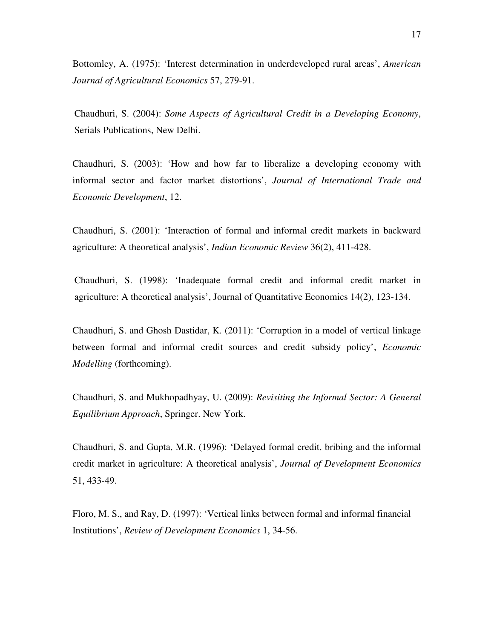Bottomley, A. (1975): 'Interest determination in underdeveloped rural areas', *American Journal of Agricultural Economics* 57, 279-91.

Chaudhuri, S. (2004): *Some Aspects of Agricultural Credit in a Developing Economy*, Serials Publications, New Delhi.

Chaudhuri, S. (2003): 'How and how far to liberalize a developing economy with informal sector and factor market distortions', *Journal of International Trade and Economic Development*, 12.

Chaudhuri, S. (2001): 'Interaction of formal and informal credit markets in backward agriculture: A theoretical analysis', *Indian Economic Review* 36(2), 411-428.

Chaudhuri, S. (1998): 'Inadequate formal credit and informal credit market in agriculture: A theoretical analysis', Journal of Quantitative Economics 14(2), 123-134.

Chaudhuri, S. and Ghosh Dastidar, K. (2011): 'Corruption in a model of vertical linkage between formal and informal credit sources and credit subsidy policy', *Economic Modelling* (forthcoming).

Chaudhuri, S. and Mukhopadhyay, U. (2009): *Revisiting the Informal Sector: A General Equilibrium Approach*, Springer. New York.

Chaudhuri, S. and Gupta, M.R. (1996): 'Delayed formal credit, bribing and the informal credit market in agriculture: A theoretical analysis', *Journal of Development Economics* 51, 433-49.

Floro, M. S., and Ray, D. (1997): 'Vertical links between formal and informal financial Institutions', *Review of Development Economics* 1, 34-56.